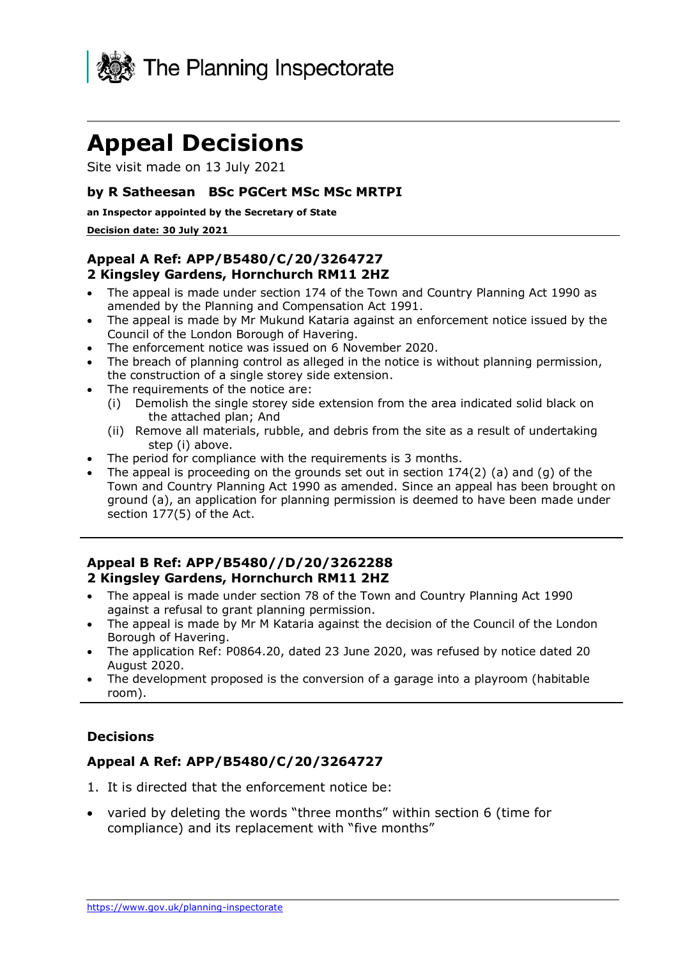

# **Appeal Decisions**

Site visit made on 13 July 2021

#### **by R Satheesan BSc PGCert MSc MSc MRTPI**

#### **an Inspector appointed by the Secretary of State**

#### **Decision date: 30 July 2021**

## **2 Kingsley Gardens, Hornchurch RM11 2HZ Appeal A Ref: APP/B5480/C/20/3264727**

- • The appeal is made under section 174 of the Town and Country Planning Act 1990 as amended by the Planning and Compensation Act 1991.
- • The appeal is made by Mr Mukund Kataria against an enforcement notice issued by the Council of the London Borough of Havering.
- The enforcement notice was issued on 6 November 2020.
- • The breach of planning control as alleged in the notice is without planning permission, the construction of a single storey side extension.
- • The requirements of the notice are:
	- (i) Demolish the single storey side extension from the area indicated solid black on the attached plan; And
	- (ii) Remove all materials, rubble, and debris from the site as a result of undertaking step (i) above.
- The period for compliance with the requirements is 3 months.
- • The appeal is proceeding on the grounds set out in section 174(2) (a) and (g) of the Town and Country Planning Act 1990 as amended. Since an appeal has been brought on ground (a), an application for planning permission is deemed to have been made under section 177(5) of the Act.

#### **Appeal B Ref: APP/B5480//D/20/3262288 2 Kingsley Gardens, Hornchurch RM11 2HZ**

- • The appeal is made under section 78 of the Town and Country Planning Act 1990 against a refusal to grant planning permission.
- • The appeal is made by Mr M Kataria against the decision of the Council of the London Borough of Havering.
- • The application Ref: P0864.20, dated 23 June 2020, was refused by notice dated 20 August 2020.
- • The development proposed is the conversion of a garage into a playroom (habitable room).

#### **Decisions**

#### **Appeal A Ref: APP/B5480/C/20/3264727**

- 1. It is directed that the enforcement notice be:
- • varied by deleting the words "three months" within section 6 (time for compliance) and its replacement with "five months"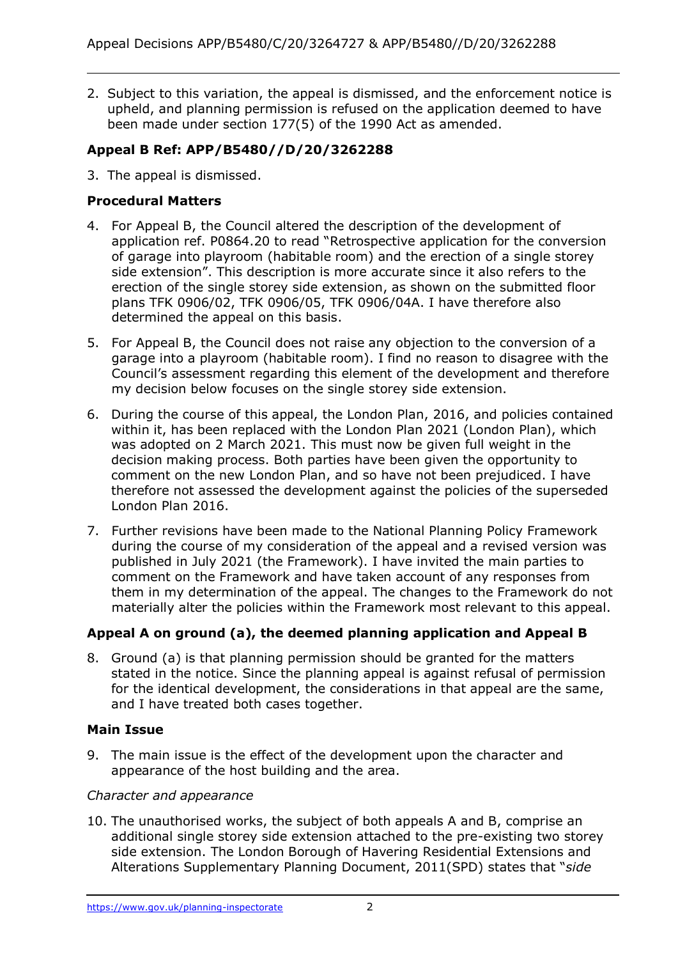2. Subject to this variation, the appeal is dismissed, and the enforcement notice is upheld, and planning permission is refused on the application deemed to have been made under section 177(5) of the 1990 Act as amended.

# **Appeal B Ref: APP/B5480//D/20/3262288**

3. The appeal is dismissed.

# **Procedural Matters**

- 4. For Appeal B, the Council altered the description of the development of application ref. P0864.20 to read "Retrospective application for the conversion of garage into playroom (habitable room) and the erection of a single storey side extension". This description is more accurate since it also refers to the erection of the single storey side extension, as shown on the submitted floor plans TFK 0906/02, TFK 0906/05, TFK 0906/04A. I have therefore also determined the appeal on this basis.
- 5. For Appeal B, the Council does not raise any objection to the conversion of a garage into a playroom (habitable room). I find no reason to disagree with the Council's assessment regarding this element of the development and therefore my decision below focuses on the single storey side extension.
- 6. During the course of this appeal, the London Plan, 2016, and policies contained within it, has been replaced with the London Plan 2021 (London Plan), which was adopted on 2 March 2021. This must now be given full weight in the decision making process. Both parties have been given the opportunity to comment on the new London Plan, and so have not been prejudiced. I have therefore not assessed the development against the policies of the superseded London Plan 2016.
- 7. Further revisions have been made to the National Planning Policy Framework during the course of my consideration of the appeal and a revised version was published in July 2021 (the Framework). I have invited the main parties to comment on the Framework and have taken account of any responses from them in my determination of the appeal. The changes to the Framework do not materially alter the policies within the Framework most relevant to this appeal.

# **Appeal A on ground (a), the deemed planning application and Appeal B**

 8. Ground (a) is that planning permission should be granted for the matters stated in the notice. Since the planning appeal is against refusal of permission for the identical development, the considerations in that appeal are the same, and I have treated both cases together.

# **Main Issue**

 9. The main issue is the effect of the development upon the character and appearance of the host building and the area.

# *Character and appearance*

 10. The unauthorised works, the subject of both appeals A and B, comprise an additional single storey side extension attached to the pre-existing two storey side extension. The London Borough of Havering Residential Extensions and Alterations Supplementary Planning Document, 2011(SPD) states that "*side*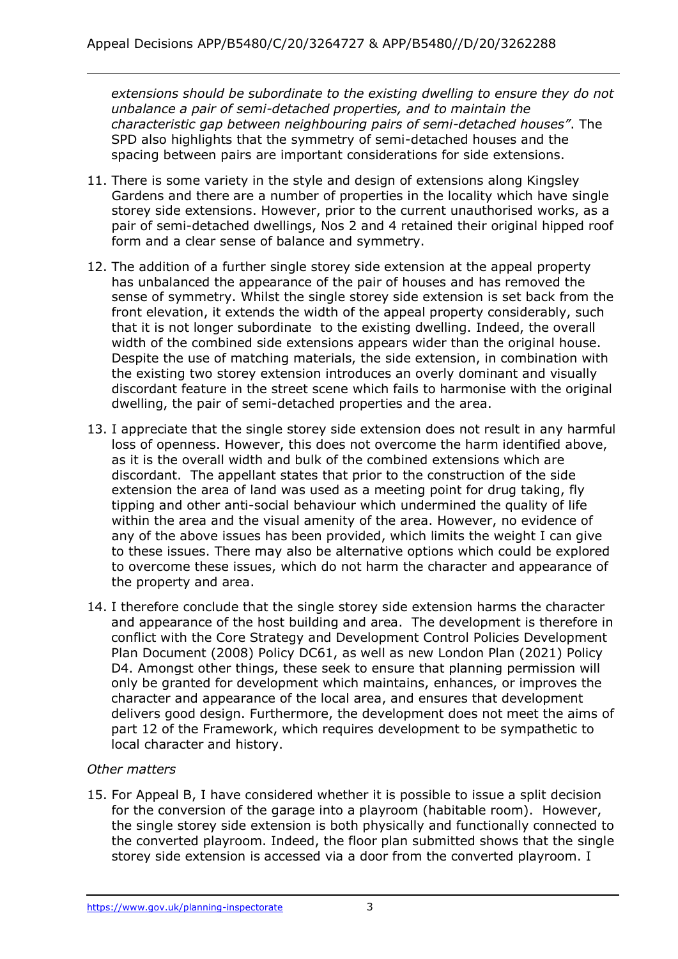extensions should be subordinate to the existing dwelling to ensure they do not  *unbalance a pair of semi-detached properties, and to maintain the characteristic gap between neighbouring pairs of semi-detached houses"*. The SPD also highlights that the symmetry of semi-detached houses and the spacing between pairs are important considerations for side extensions.

- 11. There is some variety in the style and design of extensions along Kingsley Gardens and there are a number of properties in the locality which have single storey side extensions. However, prior to the current unauthorised works, as a pair of semi-detached dwellings, Nos 2 and 4 retained their original hipped roof form and a clear sense of balance and symmetry.
- 12. The addition of a further single storey side extension at the appeal property has unbalanced the appearance of the pair of houses and has removed the sense of symmetry. Whilst the single storey side extension is set back from the front elevation, it extends the width of the appeal property considerably, such that it is not longer subordinate to the existing dwelling. Indeed, the overall width of the combined side extensions appears wider than the original house. Despite the use of matching materials, the side extension, in combination with the existing two storey extension introduces an overly dominant and visually discordant feature in the street scene which fails to harmonise with the original dwelling, the pair of semi-detached properties and the area.
- 13. I appreciate that the single storey side extension does not result in any harmful loss of openness. However, this does not overcome the harm identified above, as it is the overall width and bulk of the combined extensions which are discordant. The appellant states that prior to the construction of the side extension the area of land was used as a meeting point for drug taking, fly tipping and other anti-social behaviour which undermined the quality of life within the area and the visual amenity of the area. However, no evidence of any of the above issues has been provided, which limits the weight I can give to these issues. There may also be alternative options which could be explored to overcome these issues, which do not harm the character and appearance of the property and area.
- 14. I therefore conclude that the single storey side extension harms the character and appearance of the host building and area. The development is therefore in conflict with the Core Strategy and Development Control Policies Development Plan Document (2008) Policy DC61, as well as new London Plan (2021) Policy D4. Amongst other things, these seek to ensure that planning permission will only be granted for development which maintains, enhances, or improves the character and appearance of the local area, and ensures that development delivers good design. Furthermore, the development does not meet the aims of part 12 of the Framework, which requires development to be sympathetic to local character and history.

# *Other matters*

 15. For Appeal B, I have considered whether it is possible to issue a split decision for the conversion of the garage into a playroom (habitable room). However, the single storey side extension is both physically and functionally connected to the converted playroom. Indeed, the floor plan submitted shows that the single storey side extension is accessed via a door from the converted playroom. I